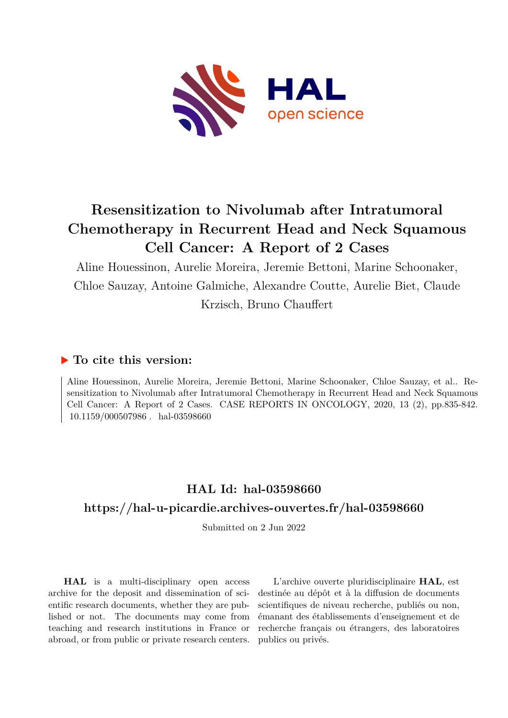

# **Resensitization to Nivolumab after Intratumoral Chemotherapy in Recurrent Head and Neck Squamous Cell Cancer: A Report of 2 Cases**

Aline Houessinon, Aurelie Moreira, Jeremie Bettoni, Marine Schoonaker, Chloe Sauzay, Antoine Galmiche, Alexandre Coutte, Aurelie Biet, Claude Krzisch, Bruno Chauffert

### **To cite this version:**

Aline Houessinon, Aurelie Moreira, Jeremie Bettoni, Marine Schoonaker, Chloe Sauzay, et al.. Resensitization to Nivolumab after Intratumoral Chemotherapy in Recurrent Head and Neck Squamous Cell Cancer: A Report of 2 Cases. CASE REPORTS IN ONCOLOGY, 2020, 13 (2), pp.835-842. 10.1159/000507986. hal-03598660

## **HAL Id: hal-03598660 <https://hal-u-picardie.archives-ouvertes.fr/hal-03598660>**

Submitted on 2 Jun 2022

**HAL** is a multi-disciplinary open access archive for the deposit and dissemination of scientific research documents, whether they are published or not. The documents may come from teaching and research institutions in France or abroad, or from public or private research centers.

L'archive ouverte pluridisciplinaire **HAL**, est destinée au dépôt et à la diffusion de documents scientifiques de niveau recherche, publiés ou non, émanant des établissements d'enseignement et de recherche français ou étrangers, des laboratoires publics ou privés.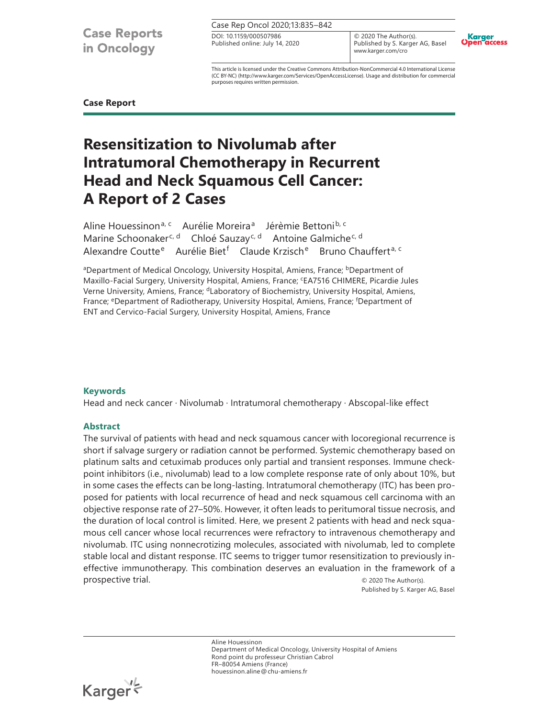**Case Reports** in Oncology

Case Rep Oncol 2020;13:835–842

Published online: July 14, 2020 DOI: 10.1159/000507986

© 2020 The Author(s). Published by S. Karger AG, Basel www.karger.com/cro



This article is licensed under the Creative Commons Attribution-NonCommercial 4.0 International License (CC BY-NC) (http://www.karger.com/Services/OpenAccessLicense). Usage and distribution for commercial purposes requires written permission.

**Case Report**

## **Resensitization to Nivolumab after Intratumoral Chemotherapy in Recurrent Head and Neck Squamous Cell Cancer: A Report of 2 Cases**

Aline Houessinon<sup>a, c</sup> Aurélie Moreira<sup>a</sup> Jérèmie Bettoni<sup>b, c</sup> Marine Schoonaker<sup>c, d</sup> Chloé Sauzay<sup>c, d</sup> Antoine Galmiche<sup>c, d</sup> Alexandre Coutte<sup>e</sup> Aurélie Biet<sup>f</sup> Claude Krzisch<sup>e</sup> Bruno Chauffert<sup>a, c</sup>

aDepartment of Medical Oncology, University Hospital, Amiens, France; bDepartment of Maxillo-Facial Surgery, University Hospital, Amiens, France; <sup>c</sup>EA7516 CHIMERE, Picardie Jules Verne University, Amiens, France; dLaboratory of Biochemistry, University Hospital, Amiens, France; <sup>e</sup>Department of Radiotherapy, University Hospital, Amiens, France; <sup>f</sup>Department of ENT and Cervico-Facial Surgery, University Hospital, Amiens, France

#### **Keywords**

Head and neck cancer · Nivolumab · Intratumoral chemotherapy · Abscopal-like effect

#### **Abstract**

The survival of patients with head and neck squamous cancer with locoregional recurrence is short if salvage surgery or radiation cannot be performed. Systemic chemotherapy based on platinum salts and cetuximab produces only partial and transient responses. Immune checkpoint inhibitors (i.e., nivolumab) lead to a low complete response rate of only about 10%, but in some cases the effects can be long-lasting. Intratumoral chemotherapy (ITC) has been proposed for patients with local recurrence of head and neck squamous cell carcinoma with an objective response rate of 27–50%. However, it often leads to peritumoral tissue necrosis, and the duration of local control is limited. Here, we present 2 patients with head and neck squamous cell cancer whose local recurrences were refractory to intravenous chemotherapy and nivolumab. ITC using nonnecrotizing molecules, associated with nivolumab, led to complete stable local and distant response. ITC seems to trigger tumor resensitization to previously ineffective immunotherapy. This combination deserves an evaluation in the framework of a prospective trial.  $\qquad \qquad \odot$  2020 The Author(s).

Published by S. Karger AG, Basel

Aline Houessinon Department of Medical Oncology, University Hospital of Amiens Rond point du professeur Christian Cabrol FR–80054 Amiens (France) houessinon.aline@chu-amiens.fr

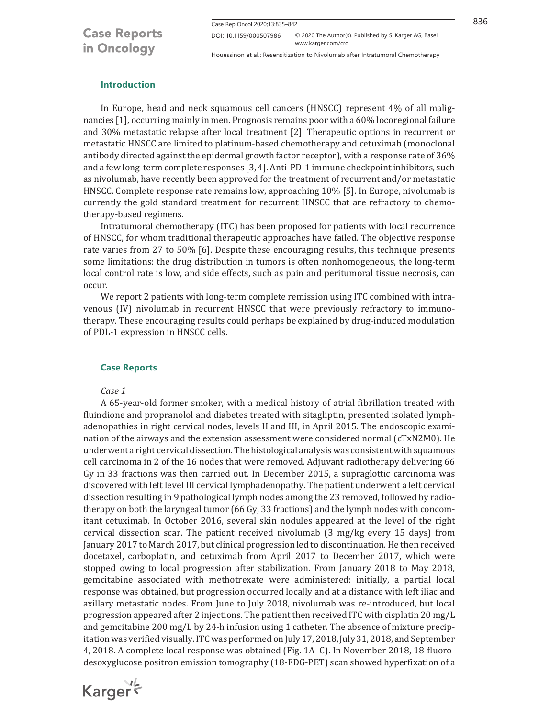Case Rep Oncol 2020;13:835–842 836

Houessinon et al.: Resensitization to Nivolumab after Intratumoral Chemotherapy www.karger.com/cro

DOI: 10.1159/000507986 © 2020 The Author(s). Published by S. Karger AG, Basel

#### **Introduction**

In Europe, head and neck squamous cell cancers (HNSCC) represent 4% of all malignancies [1], occurring mainly in men. Prognosis remains poor with a 60% locoregional failure and 30% metastatic relapse after local treatment [2]. Therapeutic options in recurrent or metastatic HNSCC are limited to platinum-based chemotherapy and cetuximab (monoclonal antibody directed against the epidermal growth factor receptor), with a response rate of 36% and a few long-term complete responses [3, 4]. Anti-PD-1 immune checkpoint inhibitors, such as nivolumab, have recently been approved for the treatment of recurrent and/or metastatic HNSCC. Complete response rate remains low, approaching 10% [5]. In Europe, nivolumab is currently the gold standard treatment for recurrent HNSCC that are refractory to chemotherapy-based regimens.

Intratumoral chemotherapy (ITC) has been proposed for patients with local recurrence of HNSCC, for whom traditional therapeutic approaches have failed. The objective response rate varies from 27 to 50% [6]. Despite these encouraging results, this technique presents some limitations: the drug distribution in tumors is often nonhomogeneous, the long-term local control rate is low, and side effects, such as pain and peritumoral tissue necrosis, can occur.

We report 2 patients with long-term complete remission using ITC combined with intravenous (IV) nivolumab in recurrent HNSCC that were previously refractory to immunotherapy. These encouraging results could perhaps be explained by drug-induced modulation of PDL-1 expression in HNSCC cells.

#### **Case Reports**

*Case 1*

A 65-year-old former smoker, with a medical history of atrial fibrillation treated with fluindione and propranolol and diabetes treated with sitagliptin, presented isolated lymphadenopathies in right cervical nodes, levels II and III, in April 2015. The endoscopic examination of the airways and the extension assessment were considered normal (cTxN2M0). He underwent a right cervical dissection. The histological analysis was consistent with squamous cell carcinoma in 2 of the 16 nodes that were removed. Adjuvant radiotherapy delivering 66 Gy in 33 fractions was then carried out. In December 2015, a supraglottic carcinoma was discovered with left level III cervical lymphadenopathy. The patient underwent a left cervical dissection resulting in 9 pathological lymph nodes among the 23 removed, followed by radiotherapy on both the laryngeal tumor (66 Gy, 33 fractions) and the lymph nodes with concomitant cetuximab. In October 2016, several skin nodules appeared at the level of the right cervical dissection scar. The patient received nivolumab (3 mg/kg every 15 days) from January 2017 to March 2017, but clinical progression led to discontinuation. He then received docetaxel, carboplatin, and cetuximab from April 2017 to December 2017, which were stopped owing to local progression after stabilization. From January 2018 to May 2018, gemcitabine associated with methotrexate were administered: initially, a partial local response was obtained, but progression occurred locally and at a distance with left iliac and axillary metastatic nodes. From June to July 2018, nivolumab was re-introduced, but local progression appeared after 2 injections. The patient then received ITC with cisplatin 20 mg/L and gemcitabine 200 mg/L by 24-h infusion using 1 catheter. The absence of mixture precipitation was verified visually. ITC was performed on July 17, 2018, July 31, 2018, and September 4, 2018. A complete local response was obtained (Fig. 1A–C). In November 2018, 18-fluorodesoxyglucose positron emission tomography (18-FDG-PET) scan showed hyperfixation of a

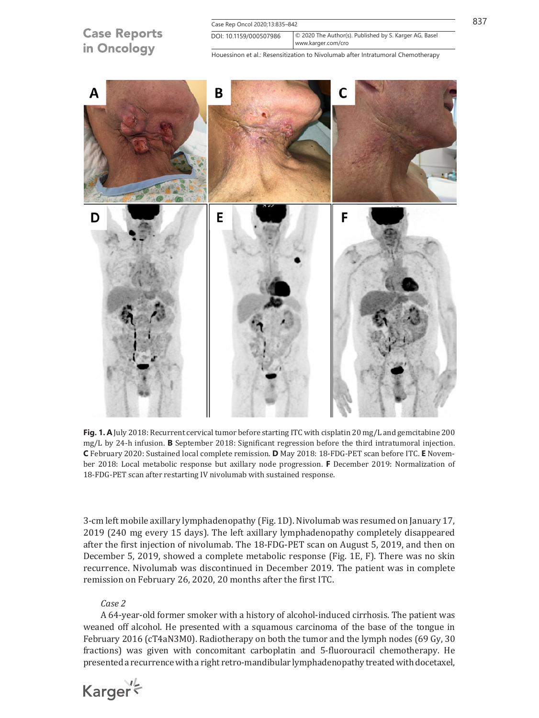



18-FDG-PET scan after restarting IV nivolumab with sustained response.

3-cm left mobile axillary lymphadenopathy (Fig. 1D). Nivolumab was resumed on January 17, 2019 (240 mg every 15 days). The left axillary lymphadenopathy completely disappeared after the first injection of nivolumab. The 18-FDG-PET scan on August 5, 2019, and then on December 5, 2019, showed a complete metabolic response (Fig. 1E, F). There was no skin recurrence. Nivolumab was discontinued in December 2019. The patient was in complete remission on February 26, 2020, 20 months after the first ITC.

#### *Case 2*

A 64-year-old former smoker with a history of alcohol-induced cirrhosis. The patient was weaned off alcohol. He presented with a squamous carcinoma of the base of the tongue in February 2016 (cT4aN3M0). Radiotherapy on both the tumor and the lymph nodes (69 Gy, 30 fractions) was given with concomitant carboplatin and 5-fluorouracil chemotherapy. He presented a recurrence with a right retro-mandibular lymphadenopathy treated with docetaxel,

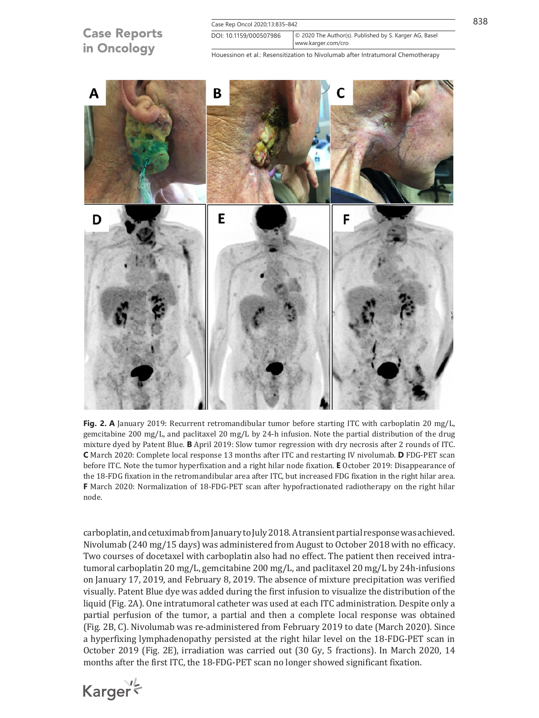



**Fig. 2. A** January 2019: Recurrent retromandibular tumor before starting ITC with carboplatin 20 mg/L, gemcitabine 200 mg/L, and paclitaxel 20 mg/L by 24-h infusion. Note the partial distribution of the drug mixture dyed by Patent Blue. **B** April 2019: Slow tumor regression with dry necrosis after 2 rounds of ITC. **C** March 2020: Complete local response 13 months after ITC and restarting IV nivolumab. **D** FDG-PET scan before ITC. Note the tumor hyperfixation and a right hilar node fixation. **E** October 2019: Disappearance of the 18-FDG fixation in the retromandibular area after ITC, but increased FDG fixation in the right hilar area. **F** March 2020: Normalization of 18-FDG-PET scan after hypofractionated radiotherapy on the right hilar node.

carboplatin, and cetuximab from January to July 2018. A transient partial response was achieved. Nivolumab (240 mg/15 days) was administered from August to October 2018 with no efficacy. Two courses of docetaxel with carboplatin also had no effect. The patient then received intratumoral carboplatin 20 mg/L, gemcitabine 200 mg/L, and paclitaxel 20 mg/L by 24h-infusions on January 17, 2019, and February 8, 2019. The absence of mixture precipitation was verified visually. Patent Blue dye was added during the first infusion to visualize the distribution of the liquid (Fig. 2A). One intratumoral catheter was used at each ITC administration. Despite only a partial perfusion of the tumor, a partial and then a complete local response was obtained (Fig. 2B, C). Nivolumab was re-administered from February 2019 to date (March 2020). Since a hyperfixing lymphadenopathy persisted at the right hilar level on the 18-FDG-PET scan in October 2019 (Fig. 2E), irradiation was carried out (30 Gy, 5 fractions). In March 2020, 14 months after the first ITC, the 18-FDG-PET scan no longer showed significant fixation.

Karger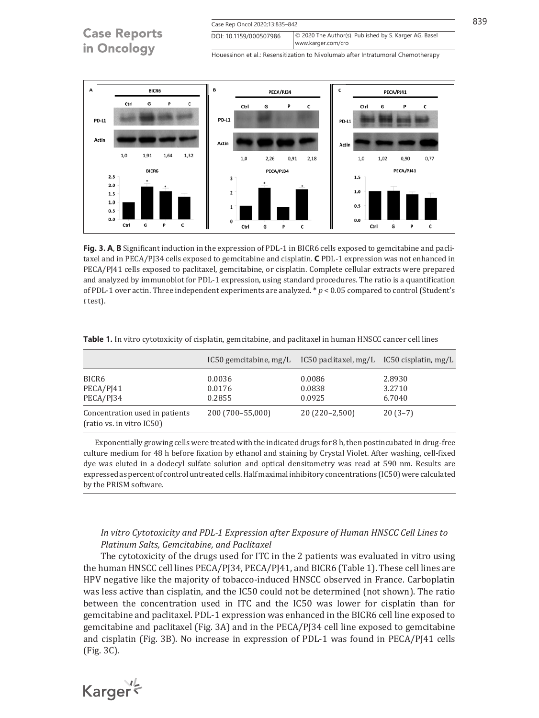

**Fig. 3. A**, **B** Significant induction in the expression of PDL-1 in BICR6 cells exposed to gemcitabine and paclitaxel and in PECA/PJ34 cells exposed to gemcitabine and cisplatin. **C** PDL-1 expression was not enhanced in PECA/PJ41 cells exposed to paclitaxel, gemcitabine, or cisplatin. Complete cellular extracts were prepared and analyzed by immunoblot for PDL-1 expression, using standard procedures. The ratio is a quantification of PDL-1 over actin. Three independent experiments are analyzed. \* *p* < 0.05 compared to control (Student's *t* test).

|                                                             | IC50 gemcitabine, mg/L IC50 paclitaxel, mg/L IC50 cisplatin, mg/L |                            |                            |
|-------------------------------------------------------------|-------------------------------------------------------------------|----------------------------|----------------------------|
| BICR6<br>PECA/PJ41<br>PECA/PI34                             | 0.0036<br>0.0176<br>0.2855                                        | 0.0086<br>0.0838<br>0.0925 | 2.8930<br>3.2710<br>6.7040 |
| Concentration used in patients<br>(ratio vs. in vitro IC50) | 200 (700-55,000)                                                  | $20(220-2,500)$            | $20(3-7)$                  |

**Table 1.** In vitro cytotoxicity of cisplatin, gemcitabine, and paclitaxel in human HNSCC cancer cell lines

Exponentially growing cells were treated with the indicated drugs for 8 h, then postincubated in drug-free culture medium for 48 h before fixation by ethanol and staining by Crystal Violet. After washing, cell-fixed dye was eluted in a dodecyl sulfate solution and optical densitometry was read at 590 nm. Results are expressed as percent of control untreated cells. Half maximal inhibitory concentrations (IC50) were calculated by the PRISM software.

#### *In vitro Cytotoxicity and PDL-1 Expression after Exposure of Human HNSCC Cell Lines to Platinum Salts, Gemcitabine, and Paclitaxel*

The cytotoxicity of the drugs used for ITC in the 2 patients was evaluated in vitro using the human HNSCC cell lines PECA/PJ34, PECA/PJ41, and BICR6 (Table 1). These cell lines are HPV negative like the majority of tobacco-induced HNSCC observed in France. Carboplatin was less active than cisplatin, and the IC50 could not be determined (not shown). The ratio between the concentration used in ITC and the IC50 was lower for cisplatin than for gemcitabine and paclitaxel. PDL-1 expression was enhanced in the BICR6 cell line exposed to gemcitabine and paclitaxel (Fig. 3A) and in the PECA/PJ34 cell line exposed to gemcitabine and cisplatin (Fig. 3B). No increase in expression of PDL-1 was found in PECA/PJ41 cells (Fig. 3C).

Karger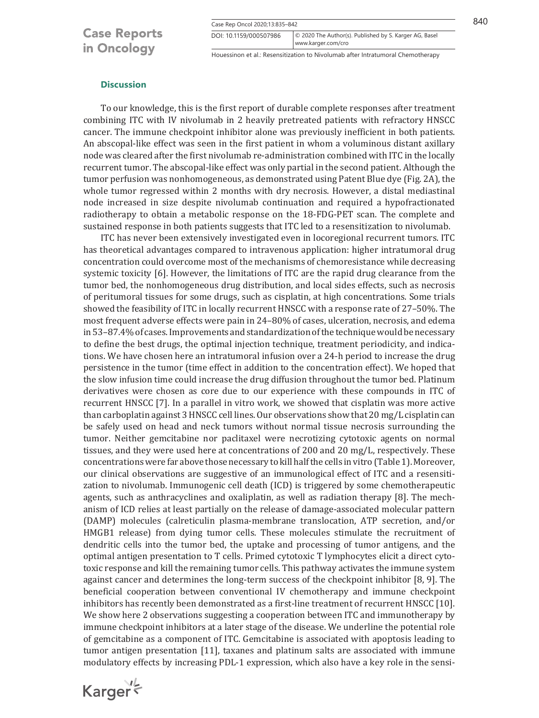Case Rep Oncol 2020;13:835–842 840

### **Case Reports** in Oncology

www.karger.com/cro DOI: 10.1159/000507986 © 2020 The Author(s). Published by S. Karger AG, Basel

Houessinon et al.: Resensitization to Nivolumab after Intratumoral Chemotherapy

#### **Discussion**

To our knowledge, this is the first report of durable complete responses after treatment combining ITC with IV nivolumab in 2 heavily pretreated patients with refractory HNSCC cancer. The immune checkpoint inhibitor alone was previously inefficient in both patients. An abscopal-like effect was seen in the first patient in whom a voluminous distant axillary node was cleared after the first nivolumab re-administration combined with ITC in the locally recurrent tumor. The abscopal-like effect was only partial in the second patient. Although the tumor perfusion was nonhomogeneous, as demonstrated using Patent Blue dye (Fig. 2A), the whole tumor regressed within 2 months with dry necrosis. However, a distal mediastinal node increased in size despite nivolumab continuation and required a hypofractionated radiotherapy to obtain a metabolic response on the 18-FDG-PET scan. The complete and sustained response in both patients suggests that ITC led to a resensitization to nivolumab.

ITC has never been extensively investigated even in locoregional recurrent tumors. ITC has theoretical advantages compared to intravenous application: higher intratumoral drug concentration could overcome most of the mechanisms of chemoresistance while decreasing systemic toxicity [6]. However, the limitations of ITC are the rapid drug clearance from the tumor bed, the nonhomogeneous drug distribution, and local sides effects, such as necrosis of peritumoral tissues for some drugs, such as cisplatin, at high concentrations. Some trials showed the feasibility of ITC in locally recurrent HNSCC with a response rate of 27–50%. The most frequent adverse effects were pain in 24–80% of cases, ulceration, necrosis, and edema in 53–87.4% of cases. Improvements and standardization of the technique would be necessary to define the best drugs, the optimal injection technique, treatment periodicity, and indications. We have chosen here an intratumoral infusion over a 24-h period to increase the drug persistence in the tumor (time effect in addition to the concentration effect). We hoped that the slow infusion time could increase the drug diffusion throughout the tumor bed. Platinum derivatives were chosen as core due to our experience with these compounds in ITC of recurrent HNSCC [7]. In a parallel in vitro work, we showed that cisplatin was more active than carboplatin against 3 HNSCC cell lines. Our observations show that 20 mg/L cisplatin can be safely used on head and neck tumors without normal tissue necrosis surrounding the tumor. Neither gemcitabine nor paclitaxel were necrotizing cytotoxic agents on normal tissues, and they were used here at concentrations of 200 and 20 mg/L, respectively. These concentrations were far above those necessary to kill half the cells in vitro (Table1). Moreover, our clinical observations are suggestive of an immunological effect of ITC and a resensitization to nivolumab. Immunogenic cell death (ICD) is triggered by some chemotherapeutic agents, such as anthracyclines and oxaliplatin, as well as radiation therapy [8]. The mechanism of ICD relies at least partially on the release of damage-associated molecular pattern (DAMP) molecules (calreticulin plasma-membrane translocation, ATP secretion, and/or HMGB1 release) from dying tumor cells. These molecules stimulate the recruitment of dendritic cells into the tumor bed, the uptake and processing of tumor antigens, and the optimal antigen presentation to T cells. Primed cytotoxic T lymphocytes elicit a direct cytotoxic response and kill the remaining tumor cells. This pathway activates the immune system against cancer and determines the long-term success of the checkpoint inhibitor [8, 9]. The beneficial cooperation between conventional IV chemotherapy and immune checkpoint inhibitors has recently been demonstrated as a first-line treatment of recurrent HNSCC [10]. We show here 2 observations suggesting a cooperation between ITC and immunotherapy by immune checkpoint inhibitors at a later stage of the disease. We underline the potential role of gemcitabine as a component of ITC. Gemcitabine is associated with apoptosis leading to tumor antigen presentation [11], taxanes and platinum salts are associated with immune modulatory effects by increasing PDL-1 expression, which also have a key role in the sensi-

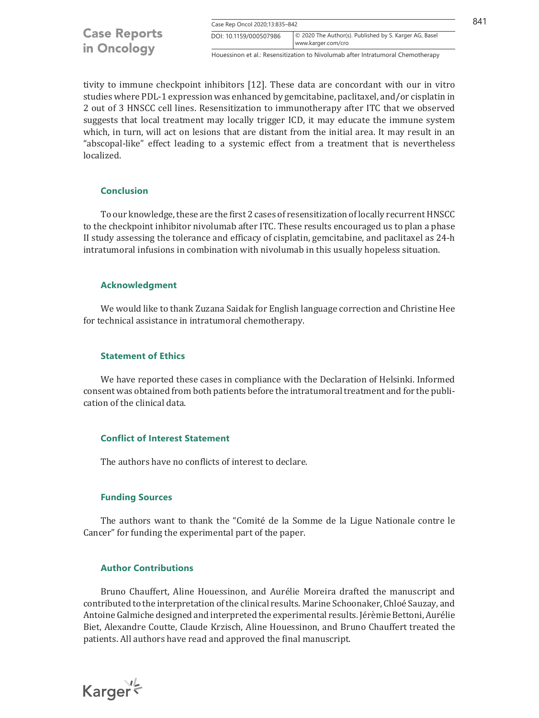| <b>Case Reports</b><br>in Oncology |                        | Case Rep Oncol 2020;13:835-842                                                  |  |
|------------------------------------|------------------------|---------------------------------------------------------------------------------|--|
|                                    | DOI: 10.1159/000507986 | © 2020 The Author(s). Published by S. Karger AG, Basel<br>www.karger.com/cro    |  |
|                                    |                        | Houessinon et al : Resensitization to Nivolumab after Intratumoral Chemotherapy |  |

tivity to immune checkpoint inhibitors [12]. These data are concordant with our in vitro studies where PDL-1 expression was enhanced by gemcitabine, paclitaxel, and/or cisplatin in 2 out of 3 HNSCC cell lines. Resensitization to immunotherapy after ITC that we observed suggests that local treatment may locally trigger ICD, it may educate the immune system which, in turn, will act on lesions that are distant from the initial area. It may result in an "abscopal-like" effect leading to a systemic effect from a treatment that is nevertheless localized.

#### **Conclusion**

To our knowledge, these are the first 2 cases of resensitization of locally recurrent HNSCC to the checkpoint inhibitor nivolumab after ITC. These results encouraged us to plan a phase II study assessing the tolerance and efficacy of cisplatin, gemcitabine, and paclitaxel as 24-h intratumoral infusions in combination with nivolumab in this usually hopeless situation.

#### **Acknowledgment**

We would like to thank Zuzana Saidak for English language correction and Christine Hee for technical assistance in intratumoral chemotherapy.

#### **Statement of Ethics**

We have reported these cases in compliance with the Declaration of Helsinki. Informed consent was obtained from both patients before the intratumoral treatment and for the publication of the clinical data.

#### **Conflict of Interest Statement**

The authors have no conflicts of interest to declare.

#### **Funding Sources**

The authors want to thank the "Comité de la Somme de la Ligue Nationale contre le Cancer" for funding the experimental part of the paper.

#### **Author Contributions**

Bruno Chauffert, Aline Houessinon, and Aurélie Moreira drafted the manuscript and contributed to the interpretation of the clinical results. Marine Schoonaker, Chloé Sauzay, and Antoine Galmiche designed and interpreted the experimental results. Jérèmie Bettoni, Aurélie Biet, Alexandre Coutte, Claude Krzisch, Aline Houessinon, and Bruno Chauffert treated the patients. All authors have read and approved the final manuscript.

Karger